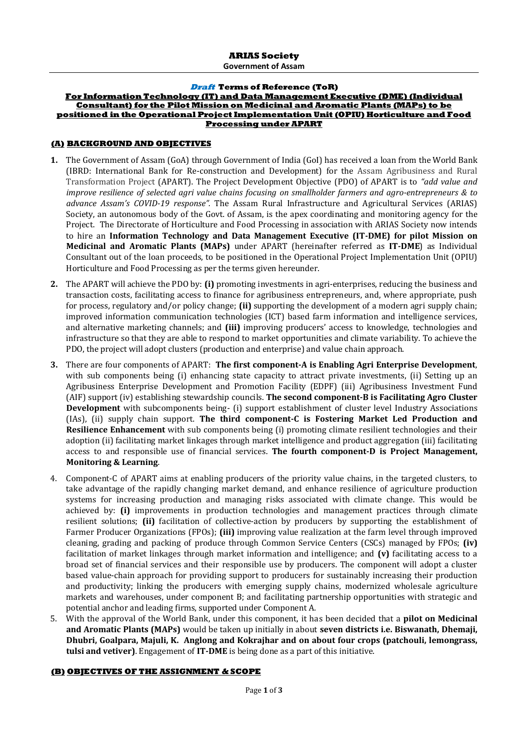**Government of Assam**

#### **Draft Terms of Reference (ToR)**

#### **For Information Technology (IT) and Data Management Executive (DME) (Individual Consultant) for the Pilot Mission on Medicinal and Aromatic Plants (MAPs) to be positioned in the Operational Project Implementation Unit (OPIU) Horticulture and Food Processing under APART**

### **(A) BACKGROUND AND OBJECTIVES**

- **1.** The Government of Assam (GoA) through Government of India (GoI) has received a loan from the World Bank (IBRD: International Bank for Re-construction and Development) for the Assam Agribusiness and Rural Transformation Project (APART). The Project Development Objective (PDO) of APART is to *"add value and improve resilience of selected agri value chains focusing on smallholder farmers and agro-entrepreneurs & to advance Assam's COVID-19 response".* The Assam Rural Infrastructure and Agricultural Services (ARIAS) Society, an autonomous body of the Govt. of Assam, is the apex coordinating and monitoring agency for the Project. The Directorate of Horticulture and Food Processing in association with ARIAS Society now intends to hire an **Information Technology and Data Management Executive (IT-DME) for pilot Mission on Medicinal and Aromatic Plants (MAPs)** under APART (hereinafter referred as **IT-DME**) as Individual Consultant out of the loan proceeds, to be positioned in the Operational Project Implementation Unit (OPIU) Horticulture and Food Processing as per the terms given hereunder.
- **2.** The APART will achieve the PDO by: **(i)** promoting investments in agri-enterprises, reducing the business and transaction costs, facilitating access to finance for agribusiness entrepreneurs, and, where appropriate, push for process, regulatory and/or policy change; **(ii)** supporting the development of a modern agri supply chain; improved information communication technologies (ICT) based farm information and intelligence services, and alternative marketing channels; and **(iii)** improving producers' access to knowledge, technologies and infrastructure so that they are able to respond to market opportunities and climate variability. To achieve the PDO, the project will adopt clusters (production and enterprise) and value chain approach.
- **3.** There are four components of APART: **The first component-A is Enabling Agri Enterprise Development**, with sub components being (i) enhancing state capacity to attract private investments, (ii) Setting up an Agribusiness Enterprise Development and Promotion Facility (EDPF) (iii) Agribusiness Investment Fund (AIF) support (iv) establishing stewardship councils. **The second component-B is Facilitating Agro Cluster Development** with subcomponents being- (i) support establishment of cluster level Industry Associations (IAs), (ii) supply chain support. **The third component-C is Fostering Market Led Production and Resilience Enhancement** with sub components being (i) promoting climate resilient technologies and their adoption (ii) facilitating market linkages through market intelligence and product aggregation (iii) facilitating access to and responsible use of financial services. **The fourth component-D is Project Management, Monitoring & Learning**.
- 4. Component-C of APART aims at enabling producers of the priority value chains, in the targeted clusters, to take advantage of the rapidly changing market demand, and enhance resilience of agriculture production systems for increasing production and managing risks associated with climate change. This would be achieved by: **(i)** improvements in production technologies and management practices through climate resilient solutions; **(ii)** facilitation of collective-action by producers by supporting the establishment of Farmer Producer Organizations (FPOs); **(iii)** improving value realization at the farm level through improved cleaning, grading and packing of produce through Common Service Centers (CSCs) managed by FPOs; **(iv)** facilitation of market linkages through market information and intelligence; and **(v)** facilitating access to a broad set of financial services and their responsible use by producers. The component will adopt a cluster based value-chain approach for providing support to producers for sustainably increasing their production and productivity; linking the producers with emerging supply chains, modernized wholesale agriculture markets and warehouses, under component B; and facilitating partnership opportunities with strategic and potential anchor and leading firms, supported under Component A.
- 5. With the approval of the World Bank, under this component, it has been decided that a **pilot on Medicinal and Aromatic Plants (MAPs)** would be taken up initially in about **seven districts i.e. Biswanath, Dhemaji, Dhubri, Goalpara, Majuli, K. Anglong and Kokrajhar and on about four crops (patchouli, lemongrass, tulsi and vetiver)**. Engagement of **IT-DME** is being done as a part of this initiative.

### **(B) OBJECTIVES OF THE ASSIGNMENT & SCOPE**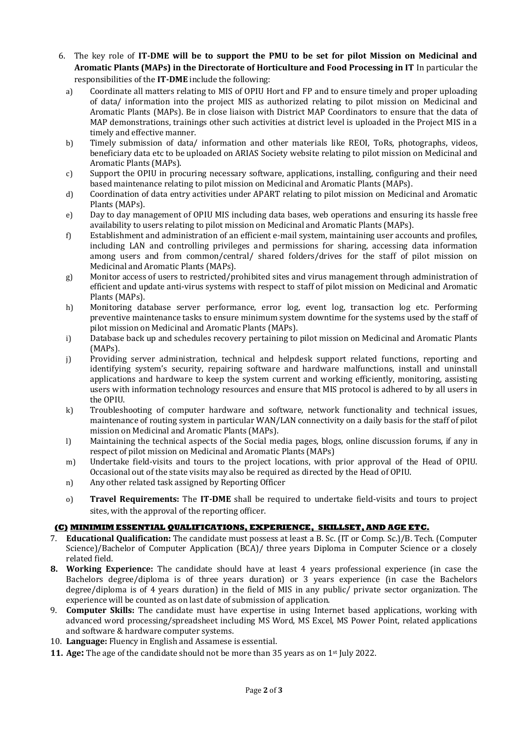- 6. The key role of **IT-DME will be to support the PMU to be set for pilot Mission on Medicinal and Aromatic Plants (MAPs) in the Directorate of Horticulture and Food Processing in IT** In particular the responsibilities of the **IT-DME** include the following:
	- a) Coordinate all matters relating to MIS of OPIU Hort and FP and to ensure timely and proper uploading of data/ information into the project MIS as authorized relating to pilot mission on Medicinal and Aromatic Plants (MAPs). Be in close liaison with District MAP Coordinators to ensure that the data of MAP demonstrations, trainings other such activities at district level is uploaded in the Project MIS in a timely and effective manner.
	- b) Timely submission of data/ information and other materials like REOI, ToRs, photographs, videos, beneficiary data etc to be uploaded on ARIAS Society website relating to pilot mission on Medicinal and Aromatic Plants (MAPs).
	- c) Support the OPIU in procuring necessary software, applications, installing, configuring and their need based maintenance relating to pilot mission on Medicinal and Aromatic Plants (MAPs).
	- d) Coordination of data entry activities under APART relating to pilot mission on Medicinal and Aromatic Plants (MAPs).
	- e) Day to day management of OPIU MIS including data bases, web operations and ensuring its hassle free availability to users relating to pilot mission on Medicinal and Aromatic Plants (MAPs).
	- f) Establishment and administration of an efficient e-mail system, maintaining user accounts and profiles, including LAN and controlling privileges and permissions for sharing, accessing data information among users and from common/central/ shared folders/drives for the staff of pilot mission on Medicinal and Aromatic Plants (MAPs).
	- g) Monitor access of users to restricted/prohibited sites and virus management through administration of efficient and update anti-virus systems with respect to staff of pilot mission on Medicinal and Aromatic Plants (MAPs).
	- h) Monitoring database server performance, error log, event log, transaction log etc. Performing preventive maintenance tasks to ensure minimum system downtime for the systems used by the staff of pilot mission on Medicinal and Aromatic Plants (MAPs).
	- i) Database back up and schedules recovery pertaining to pilot mission on Medicinal and Aromatic Plants (MAPs).
	- j) Providing server administration, technical and helpdesk support related functions, reporting and identifying system's security, repairing software and hardware malfunctions, install and uninstall applications and hardware to keep the system current and working efficiently, monitoring, assisting users with information technology resources and ensure that MIS protocol is adhered to by all users in the OPIU.
	- k) Troubleshooting of computer hardware and software, network functionality and technical issues, maintenance of routing system in particular WAN/LAN connectivity on a daily basis for the staff of pilot mission on Medicinal and Aromatic Plants (MAPs).
	- l) Maintaining the technical aspects of the Social media pages, blogs, online discussion forums, if any in respect of pilot mission on Medicinal and Aromatic Plants (MAPs)
	- m) Undertake field-visits and tours to the project locations, with prior approval of the Head of OPIU. Occasional out of the state visits may also be required as directed by the Head of OPIU.
	- n) Any other related task assigned by Reporting Officer
	- o) **Travel Requirements:** The **IT-DME** shall be required to undertake field-visits and tours to project sites, with the approval of the reporting officer.

# **(C) MINIMIM ESSENTIAL QUALIFICATIONS, EXPERIENCE, SKILLSET, AND AGE ETC.**

- 7. **Educational Qualification:** The candidate must possess at least a B. Sc. (IT or Comp. Sc.)/B. Tech. (Computer Science)/Bachelor of Computer Application (BCA)/ three years Diploma in Computer Science or a closely related field.
- **8. Working Experience:** The candidate should have at least 4 years professional experience (in case the Bachelors degree/diploma is of three years duration) or 3 years experience (in case the Bachelors degree/diploma is of 4 years duration) in the field of MIS in any public/ private sector organization. The experience will be counted as on last date of submission of application.
- 9. **Computer Skills:** The candidate must have expertise in using Internet based applications, working with advanced word processing/spreadsheet including MS Word, MS Excel, MS Power Point, related applications and software & hardware computer systems.
- 10. **Language:** Fluency in English and Assamese is essential.
- **11. Age:** The age of the candidate should not be more than 35 years as on 1<sup>st</sup> July 2022.